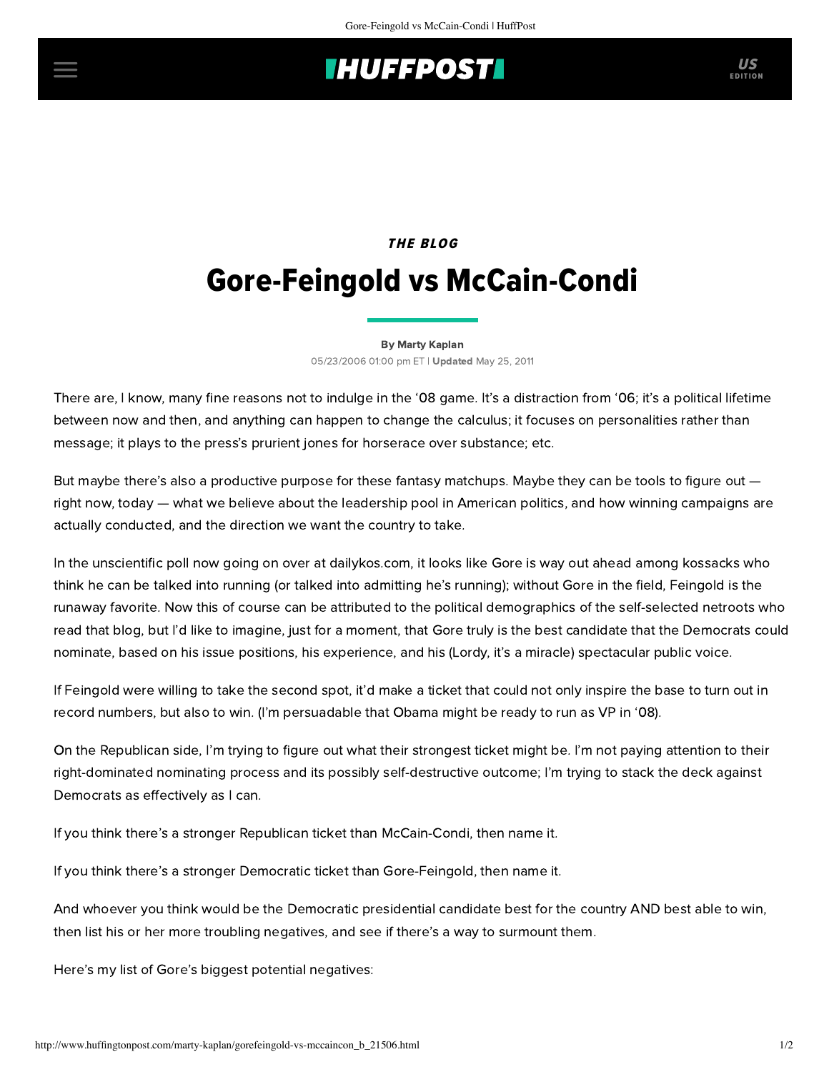## **IHUFFPOSTI**

# THE BLOG Gore-Feingold vs McCain-Condi

#### [By Marty Kaplan](http://www.huffingtonpost.com/author/marty-kaplan)

05/23/2006 01:00 pm ET | Updated May 25, 2011

There are, I know, many fine reasons not to indulge in the '08 game. It's a distraction from '06; it's a political lifetime between now and then, and anything can happen to change the calculus; it focuses on personalities rather than message; it plays to the press's prurient jones for horserace over substance; etc.

But maybe there's also a productive purpose for these fantasy matchups. Maybe they can be tools to figure out right now, today — what we believe about the leadership pool in American politics, and how winning campaigns are actually conducted, and the direction we want the country to take.

In the [unscientific poll now going on](http://www.dailykos.com/storyonly/2006/5/23/11546/0689) over at dailykos.com, it looks like [Gore is way out ahead](http://www.dailykos.com/poll/1148396397_RcAkIUdC) among kossacks who think he can be talked into running (or talked into admitting he's running); [without Gore in the](http://www.dailykos.com/storyonly/2006/5/23/11956/4280) field, Feingold is the [runaway favorite.](http://www.dailykos.com/poll/1148396760_zLpWLTQf) Now this of course can be attributed to the political demographics of the self-selected netroots who read that blog, but I'd like to imagine, just for a moment, that Gore truly is the best candidate that the Democrats could nominate, based on his issue positions, his experience, and his (Lordy, it's a miracle) spectacular public voice.

If Feingold were willing to take the second spot, it'd make a ticket that could not only inspire the base to turn out in record numbers, but also to win. (I'm persuadable that Obama might be ready to run as VP in '08).

On the Republican side, I'm trying to figure out what their strongest ticket might be. I'm not paying attention to their right-dominated nominating process and its possibly self-destructive outcome; I'm trying to stack the deck against Democrats as effectively as I can.

If you think there's a stronger Republican ticket than McCain-Condi, then name it.

If you think there's a stronger Democratic ticket than Gore-Feingold, then name it.

And whoever you think would be the Democratic presidential candidate best for the country AND best able to win, then list his or her more troubling negatives, and see if there's a way to surmount them.

Here's my list of Gore's biggest potential negatives: